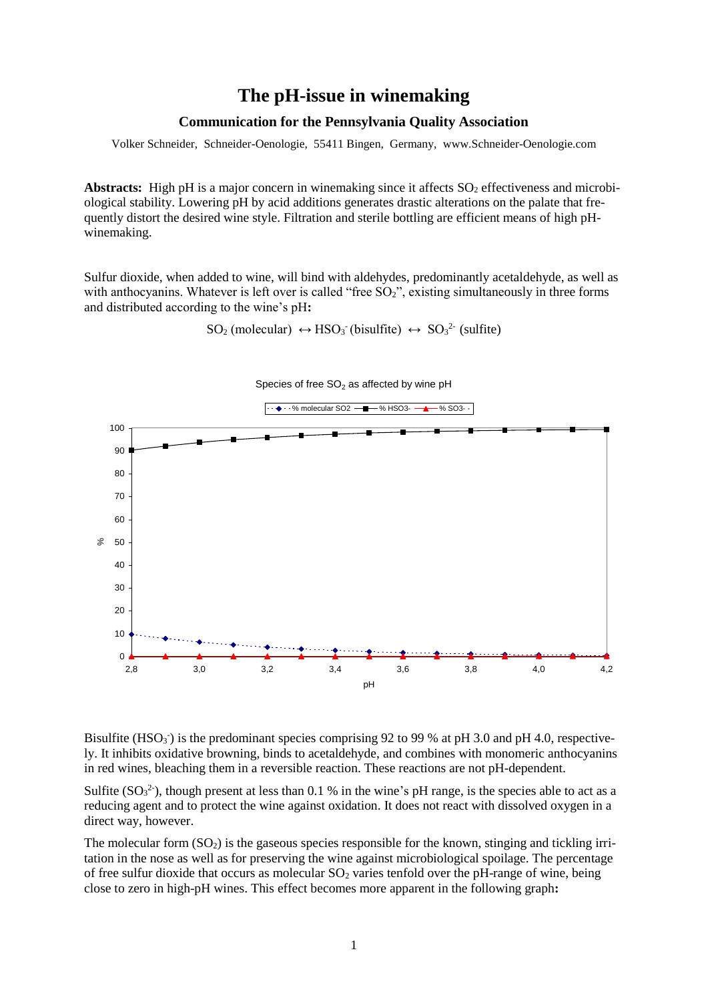# **The pH-issue in winemaking**

#### **Communication for the Pennsylvania Quality Association**

Volker Schneider, Schneider-Oenologie, 55411 Bingen, Germany, www.Schneider-Oenologie.com

**Abstracts:** High pH is a major concern in winemaking since it affects  $SO_2$  effectiveness and microbiological stability. Lowering pH by acid additions generates drastic alterations on the palate that frequently distort the desired wine style. Filtration and sterile bottling are efficient means of high pHwinemaking.

Sulfur dioxide, when added to wine, will bind with aldehydes, predominantly acetaldehyde, as well as with anthocyanins. Whatever is left over is called "free SO<sub>2</sub>", existing simultaneously in three forms and distributed according to the wine's pH**:**

 $SO_2$  (molecular)  $\leftrightarrow$  HSO<sub>3</sub><sup>-</sup> (bisulfite)  $\leftrightarrow$  SO<sub>3</sub><sup>2</sup><sup>-</sup> (sulfite)



Bisulfite (HSO<sub>3</sub><sup>)</sup> is the predominant species comprising 92 to 99 % at pH 3.0 and pH 4.0, respectively. It inhibits oxidative browning, binds to acetaldehyde, and combines with monomeric anthocyanins in red wines, bleaching them in a reversible reaction. These reactions are not pH-dependent.

Sulfite  $(SO<sub>3</sub><sup>2</sup>)$ , though present at less than 0.1 % in the wine's pH range, is the species able to act as a reducing agent and to protect the wine against oxidation. It does not react with dissolved oxygen in a direct way, however.

The molecular form  $(SO_2)$  is the gaseous species responsible for the known, stinging and tickling irritation in the nose as well as for preserving the wine against microbiological spoilage. The percentage of free sulfur dioxide that occurs as molecular  $SO<sub>2</sub>$  varies tenfold over the pH-range of wine, being close to zero in high-pH wines. This effect becomes more apparent in the following graph**:**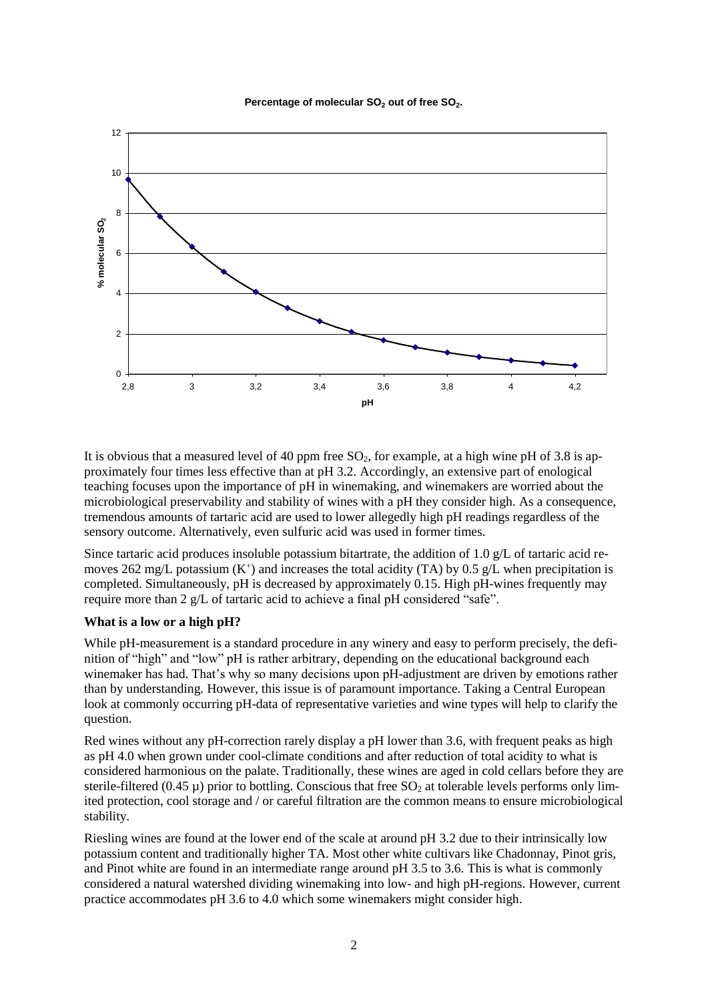#### Percentage of molecular SO<sub>2</sub> out of free SO<sub>2</sub>.



It is obvious that a measured level of 40 ppm free  $SO_2$ , for example, at a high wine pH of 3.8 is approximately four times less effective than at pH 3.2. Accordingly, an extensive part of enological teaching focuses upon the importance of pH in winemaking, and winemakers are worried about the microbiological preservability and stability of wines with a pH they consider high. As a consequence, tremendous amounts of tartaric acid are used to lower allegedly high pH readings regardless of the sensory outcome. Alternatively, even sulfuric acid was used in former times.

Since tartaric acid produces insoluble potassium bitartrate, the addition of 1.0 g/L of tartaric acid removes 262 mg/L potassium  $(K^+)$  and increases the total acidity (TA) by 0.5 g/L when precipitation is completed. Simultaneously, pH is decreased by approximately 0.15. High pH-wines frequently may require more than 2 g/L of tartaric acid to achieve a final pH considered "safe".

### **What is a low or a high pH?**

While pH-measurement is a standard procedure in any winery and easy to perform precisely, the definition of "high" and "low" pH is rather arbitrary, depending on the educational background each winemaker has had. That's why so many decisions upon pH-adjustment are driven by emotions rather than by understanding. However, this issue is of paramount importance. Taking a Central European look at commonly occurring pH-data of representative varieties and wine types will help to clarify the question.

Red wines without any pH-correction rarely display a pH lower than 3.6, with frequent peaks as high as pH 4.0 when grown under cool-climate conditions and after reduction of total acidity to what is considered harmonious on the palate. Traditionally, these wines are aged in cold cellars before they are sterile-filtered (0.45  $\mu$ ) prior to bottling. Conscious that free SO<sub>2</sub> at tolerable levels performs only limited protection, cool storage and / or careful filtration are the common means to ensure microbiological stability.

Riesling wines are found at the lower end of the scale at around pH 3.2 due to their intrinsically low potassium content and traditionally higher TA. Most other white cultivars like Chadonnay, Pinot gris, and Pinot white are found in an intermediate range around pH 3.5 to 3.6. This is what is commonly considered a natural watershed dividing winemaking into low- and high pH-regions. However, current practice accommodates pH 3.6 to 4.0 which some winemakers might consider high.